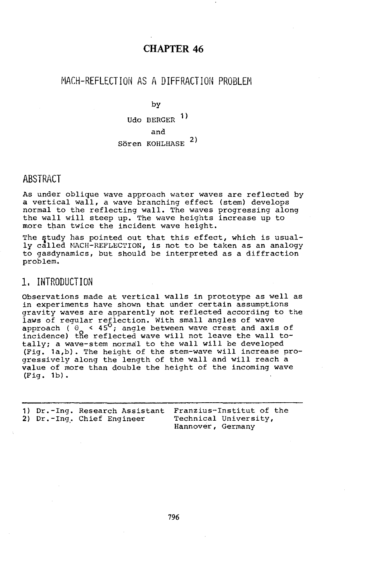# CHAPTER 46

# MACH-REFLECTION AS A DIFFRACTION PROBLEM

by

Udo BERGER '' and Soren KOHLHASE 2)

# ABSTRACT

As under oblique wave approach water waves are reflected by a vertical wall, a wave branching effect (stem) develops normal to the reflecting wall. The waves progressing along the wall will steep up. The wave heights increase up to more than twice the incident wave height.

The study has pointed out that this effect, which is usually called MACH-REFLECTION, is not to be taken as an analogy to gasdynamics, but should be interpreted as a diffraction problem.

#### 1. INTRODUCTION

Observations made at vertical walls in prototype as well as in experiments have shown that under certain assumptions gravity waves are apparently not reflected according to the laws of regular reflection. With small angles of wave approach (  $\theta_c$  < 45 $^{\circ}$ ; angle between wave crest and axis of incidence) the reflected wave will not leave the wall totally; a wave-stem normal to the wall will be developed (Fig. 1a,b). The height of the stem-wave will increase progressively along the length of the wall and will reach a value of more than double the height of the incoming wave (Fig. 1b).

|  | 1) Dr.-Ing. Research Assistant | Franzius-Institut of the |
|--|--------------------------------|--------------------------|
|  | 2) Dr.-Ing. Chief Engineer     | Technical University,    |
|  |                                | Hannover, Germany        |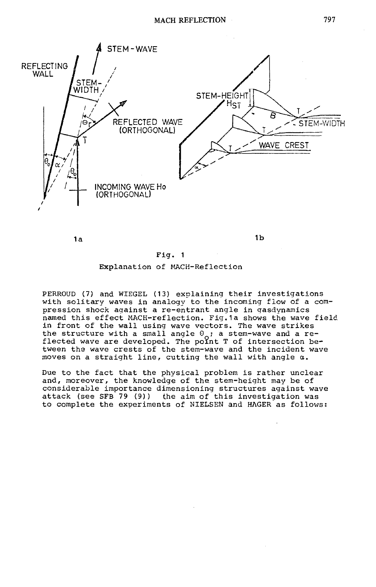

**1a 1b**

Fig. <sup>1</sup> Explanation of MACH-Reflection

PERROUD (7) and WIEGEL (13) explaining their investigations with solitary waves in analogy to the incoming flow of a compression shock against a re-entrant angle in gasdynamics named this effect MACH-reflection. Fig.1a shows the wave field in front of the wall using wave vectors. The wave strikes the structure with a small angle  $\Theta_{\alpha}$ ; a stem-wave and a reflected wave are developed. The point T of intersection between the wave crests of the stem-wave and the incident wave moves on a straight line, cutting the wall with angle  $\alpha$ .

Due to the fact that the physical problem is rather unclear and, moreover, the knowledge of the stem-height may be of considerable importance dimensioning structures against wave attack (see SFB 79 (9)) the aim of this investigation was to complete the experiments of NIELSEN and HAGER as follows: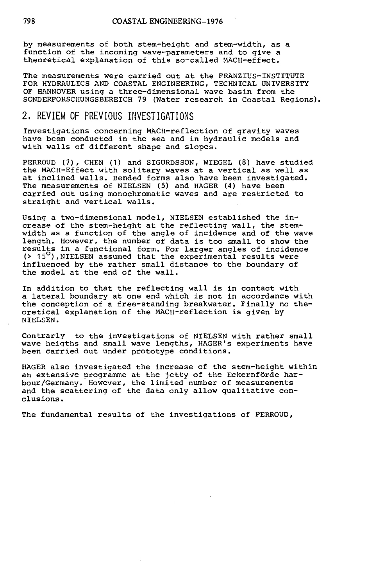by measurements of both stem-height and stem-width, as a function of the incoming wave-parameters and to give a theoretical explanation of this so-called MACH-effect.

The measurements were carried out at the FRANZIUS-INSTITUTE FOR HYDRAULICS AND COASTAL ENGINEERING, TECHNICAL UNIVERSITY OF HANNOVER using a three-dimensional wave basin from the SONDERFORSCHUNGSBEREICH 79 (Water research in Coastal Regions).

# 2. REVIEW OF PREVIOUS INVESTIGATIONS

Investigations concerning MACH-reflection of gravity waves have been conducted in the sea and in hydraulic models and with walls of different shape and slopes.

PERROUD (7), CHEN (1) and SIGURDSSON, WIEGEL (8) have studied the MACH-Effect with solitary waves at a vertical as well as at inclined walls. Bended forms also have been investigated. The measurements of NIELSEN (5) and HAGER (4) have been carried out using monochromatic waves and are restricted to straight and vertical walls.

Using a two-dimensional model, NIELSEN established the increase of the stem-height at the reflecting wall, the stemwidth as a function of the angle of incidence and of the wave length. However, the number of data is too small to show the results in a functional form. For larger angles of incidence  $($  >  $15<sup>o</sup>$ ), NIELSEN assumed that the experimental results were influenced by the rather small distance to the boundary of the model at the end of the wall.

In addition to that the reflecting wall is in contact with a lateral boundary at one end which is not in accordance with the conception of a free-standing breakwater. Finally no theoretical explanation of the MACH-reflection is given by NIELSEN.

Contrarly to the investigations of NIELSEN with rather small wave heigths and small wave lengths, HAGER's experiments have been carried out under prototype conditions.

HAGER also investigated the increase of the stem-height within an extensive programme at the jetty of the Eckernförde harbour/Germany. However, the limited number of measurements and the scattering of the data only allow qualitative conclusions.

The fundamental results of the investigations of PERROUD,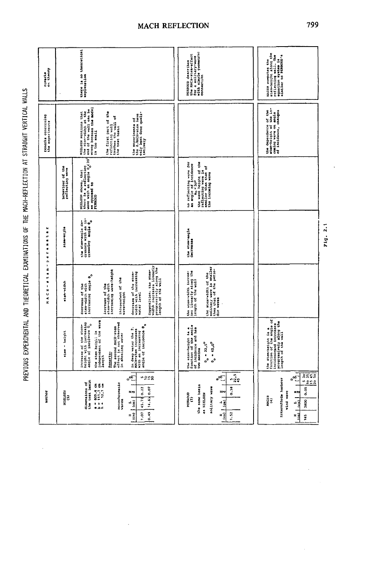| remarks<br>on theory                     | there is no theoretical<br>explenation                                                                                                            |                                                                                                                                                                                                                                                                                                                                                                                                                                                                                                                                                                                                                                                                                             | the MCH-stem-effect<br>for a solitary-wave<br>with simple geometric<br>PERROUD describes<br>connection                                                               | atem-height slong the<br>reflecting wall. The<br>equation system is<br>eimiler to PERROUD's<br>HAGER computes the                                                    |          |
|------------------------------------------|---------------------------------------------------------------------------------------------------------------------------------------------------|---------------------------------------------------------------------------------------------------------------------------------------------------------------------------------------------------------------------------------------------------------------------------------------------------------------------------------------------------------------------------------------------------------------------------------------------------------------------------------------------------------------------------------------------------------------------------------------------------------------------------------------------------------------------------------------------|----------------------------------------------------------------------------------------------------------------------------------------------------------------------|----------------------------------------------------------------------------------------------------------------------------------------------------------------------|----------|
| remarks concerning<br>the experiments    |                                                                                                                                                   | wrong bocause the model<br>the stem-width at the<br>end of the wall can be<br>NIELSEN mentions that<br>the first part of the<br>reflecting wail<br>touches the wail of<br>the test basin<br>the exporiments of<br>the 2.NACH-stem have<br>only baen done quali-<br>is too small<br>tetively                                                                                                                                                                                                                                                                                                                                                                                                 |                                                                                                                                                                      | the dependence of the<br>stem-height of the in-<br>coming wave on angle<br>of incldence, changes                                                                     |          |
|                                          | NIELSEM shows, that<br>there is a reflecting<br>wave with an angle $0'_{5}20'$<br>behaviour of the<br>refiecting wave<br>es opposed to<br>PERROUD |                                                                                                                                                                                                                                                                                                                                                                                                                                                                                                                                                                                                                                                                                             | the wave height of the<br>reflecting wave is<br>emalier than that of<br>the incoming wave<br>no reflecting wave for<br>an angle of incidence<br>$\frac{6}{90}$ < 200 |                                                                                                                                                                      |          |
|                                          | stem-enjle                                                                                                                                        | the stem-anglo de-<br>creases with an in-<br>creasing angle 0.                                                                                                                                                                                                                                                                                                                                                                                                                                                                                                                                                                                                                              | the etem-angle<br>decreasas                                                                                                                                          |                                                                                                                                                                      | Pig. 2.1 |
| 20 年 4 月 4 日 4 日 4 日 4 日 4 日 4 日 4 日 4 日 | stem-width                                                                                                                                        | Supposition: the stem-<br>width increases linearly<br>progressively along the<br>length of ths wall<br>stem-vidth with<br>increasing wave-haight<br>decrease of the atem-<br>width with increasing<br>water level<br>decrease of the<br>stem-width with<br>increasing angle $\Theta_o$<br>independent of the<br>wave-height<br>increase of the                                                                                                                                                                                                                                                                                                                                              | soiitar/ wave is smaller<br>than that of the perio-<br>the stem-width increa-<br>ses linearly siong the<br>length of the wall<br>the stem-width of the<br>dic vavee  |                                                                                                                                                                      |          |
|                                          | stem - height                                                                                                                                     | the stem hoight in<br>independent of the wave<br>length<br>increase of the stem-<br>height with increasing<br>angle of incidence $0_0$<br>The second MCB-stem<br>effect is not observed<br>in ahoaling water<br>in deep water the 2.<br>MACH-stem increases<br>with an increasing<br>angle of inclidence 0.<br>Remarks                                                                                                                                                                                                                                                                                                                                                                      | the stem-height is a<br>function of the angle<br>of incidence and has<br>$^{9}$ + 45,0°<br>$9.22.5^{\circ}$<br>two muxima                                            | the stem-height is a<br>function of the angle of<br>incidenceand increases<br>progressively along the<br>length of the wall                                          |          |
| author                                   | HIELSEN<br>(5)                                                                                                                                    | $e^{\alpha \overline{C}}$<br>nang<br>dimensions of<br>the test basin<br>monochromatic<br>wavee<br>$rac{6}{3}$<br>$rac{6}{3}$<br>$rac{1}{3}$<br>$rac{1}{3}$<br>$rac{1}{3}$<br>$rac{1}{3}$<br>$rac{1}{3}$<br>$rac{1}{3}$<br>$rac{1}{3}$<br>$rac{1}{3}$<br>$rac{1}{3}$<br>$rac{1}{3}$<br>$rac{1}{3}$<br>$rac{1}{3}$<br>$rac{1}{3}$<br>$rac{1}{3}$<br>$rac{1}{3}$<br>$rac{1}{3}$<br>$rac{1}{3}$<br>$rac{1}{3}$<br>$rac{1}{3}$<br>$rac{1}{3}$<br>$0.49$ 14.63 0.07<br>0.22<br>$\left\{ \begin{array}{c} 8 \\ \text{cm} \end{array} \right\}$ $\left\{ \begin{array}{c} 2 \\ \text{cm} \end{array} \right\}$ $\left\{ \begin{array}{c} 8 \\ 3 \\ \text{cm} \end{array} \right\}$<br>45.72<br>1.07 | $\frac{1}{2}$<br>ಀೢ<br>the same basin<br>$rac{38}{2}$<br>solitary vave<br>ziro<br>PERIOUD<br>as NIELSEN<br>ĉ<br>$-\frac{2}{5}$<br>$\frac{1}{2}$<br>1.52              | $rac{250}{1000}$<br>$\frac{1}{\sqrt{2}}$<br>Eckernförde harbour<br><b>0.05</b><br>wind wave<br>ziq<br>NAGER<br>(4)<br>.]<br>-<br>3800<br>$\frac{1}{\epsilon}$<br>165 |          |

PREVIOUS EXPERIMENTAL AND THEORETICAL EXAMINATIONS OF THE MACH-REFLECTION AT STRAIGHT VERTICAL MALLS

**MACH REFLECTION** 

799

 $\ddot{\phantom{a}}$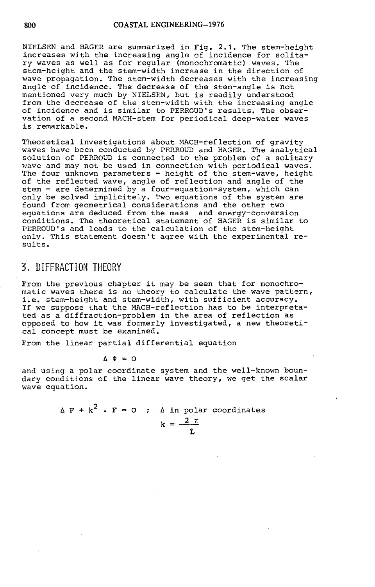NIELSEN and HAGER are summarized in Fig. 2.1. The stem-height increases with the increasing angle of incidence for solitary waves as well as for regular (monochromatic) waves. The stem-height and the stem-width increase in the direction of wave propagation. The stem-width decreases with the increasing angle of incidence. The decrease of the stem-angle is not mentioned very much by NIELSEN, but is readily understood from the decrease of the stem-width with the increasing angle of incidence and is similar to PERROUD's results. The observation of a second MACH-stem for periodical deep-water waves is remarkable.

Theoretical investigations about MACH-reflection of gravity waves have been conducted by PERROUD and HAGER. The analytical solution of PERROUD is connected to the problem of a solitary wave and may not be used in connection with periodical waves. The four unknown parameters - height of the stem-wave, height of the reflected wave, angle of reflection and angle of the stem - are determined by a four-equation-system, which can only be solved implicitely. Two equations of the system are found from geometrical considerations and the other two equations are deduced from the mass and energy-conversion conditions. The theoretical statement of HAGER is similar to PERROUD's and leads to the calculation of the stem-height only. This statement doesn't agree with the experimental results.

# 3. DIFFRACTION THEORY

From the previous chapter it may be seen that for monochromatic waves there is no theory to calculate the wave pattern, i.e. stem-height and stem-width, with sufficient accuracy. If we suppose that the MACH-reflection has to be interpretated as a diffraction-problem in the area of reflection as opposed to how it was formerly investigated, a new theoretical concept must be examined.

From the linear partial differential equation

#### $\Delta \Phi = 0$

and using a polar coordinate system and the well-known boundary conditions of the linear wave theory, we get the scalar wave equation.

> $\Delta$  F +  $k^2$  . F = O ;  $\Delta$  in polar coordinates  $k = \frac{2 \pi}{t}$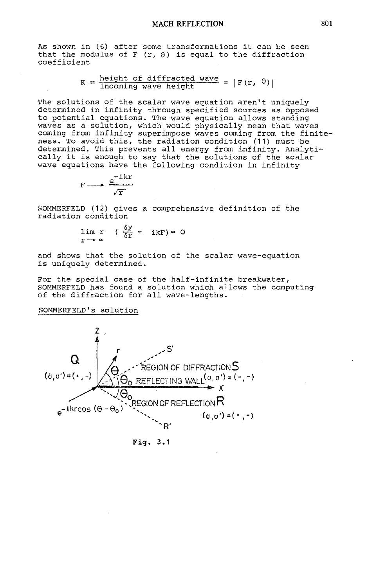As shown in (6) after some transformations it can be seen that the modulus of F (r, 0) is equal to the diffraction coefficient

$$
K = \frac{\text{height of diffracted wave}}{\text{incoming wave height}} = |F(r, \theta)|
$$

The solutions of the scalar wave equation aren't uniquely determined in infinity through specified sources as opposed to potential equations. The wave equation allows standing waves as a solution, which would physically mean that waves coming from infinity superimpose waves coming from the finiteness. To avoid this, the radiation condition (11) must be determined. This prevents all energy from infinity. Analytically it is enough to say that the solutions of the scalar wave equations have the following condition in infinity

$$
F \longrightarrow \frac{e^{-ikr}}{\sqrt{r}}
$$

SOMMERFELD (12) gives a comprehensive definition of the radiation condition

> $\lim_{r \to \infty} r$  (  $\frac{\delta F}{\delta r}$  - ikF)  $r \rightarrow \infty$

and shows that the solution of the scalar wave-equation is uniquely determined.

For the special case of the half-infinite breakwater, SOMMERFELD has found a solution which allows the computing of the diffraction for all wave-lengths.

SOMMERFELD's solution



Fig. 3.1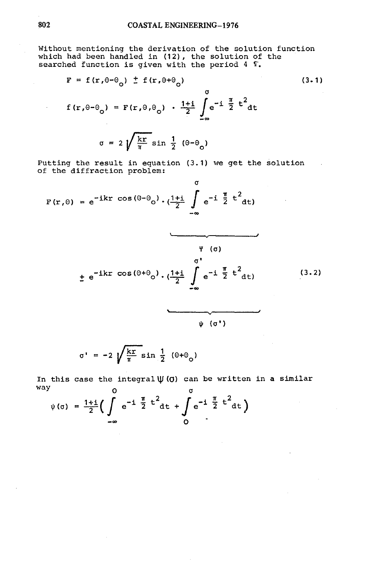Without mentioning the derivation of the solution function which had been handled in (12), the solution of the searched function is given with the period <sup>4</sup> *f.*

$$
F = f(r, \theta - \theta_0) \pm f(r, \theta + \theta_0)
$$
\n
$$
f(r, \theta - \theta_0) = F(r, \theta, \theta_0) \cdot \frac{1 + i}{2} \int_{-\infty}^{\infty} e^{-i \frac{\pi}{2} t^2} dt
$$
\n
$$
\sigma = 2 \sqrt{\frac{kr}{\pi}} \sin \frac{1}{2} (\theta - \theta_0)
$$
\n(3.1)

 $\mathcal{L}_{\mathcal{A}}$ 

 $\sim$   $\sim$ 

 $\lambda$ 

Putting the result in equation (3.1) we get the solution of the diffraction problem:

 $\mathbf{v}$ 

 $\cdot$ 

$$
F(r,\theta) = e^{-ikr \cos(\theta-\theta_0)} \cdot \left(\frac{1+i}{2}\int_{-\infty}^{\pi} e^{-i\frac{\pi}{2}t^2} dt\right)
$$

$$
\frac{\Psi(\sigma)}{\frac{\sigma'}{2}} = e^{-ikr \cos(\theta + \theta_0)} \cdot \left(\frac{1+i}{2} \int_{-\infty}^{\sigma} e^{-i \frac{\pi}{2} t^2} dt\right)
$$
 (3.2)

$$
\begin{array}{c}\n\psi \ (\sigma')\n\end{array}
$$

$$
\sigma' = -2 \sqrt{\frac{kr}{\pi}} \sin \frac{1}{2} (\theta + \theta_0)
$$

In this case the integral  $\Psi$  (0) can be written in a similar way **way <sup>O</sup> <sup>a</sup>**

$$
\psi(\sigma) = \frac{1+i}{2} \Big( \int_{-\infty}^{\infty} e^{-i \frac{\pi}{2} t^2} dt + \int_{0}^{\infty} e^{-i \frac{\pi}{2} t^2} dt \Big)
$$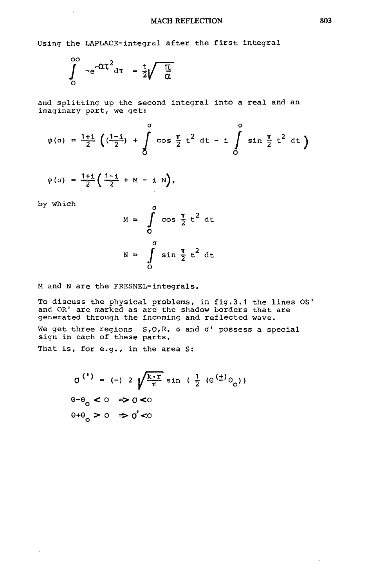Using the LAPLACE-integral after the first integral

$$
\int_{0}^{\infty} -e^{-\alpha t^{2}}dt = \frac{1}{2}\sqrt{\frac{t}{\alpha}}
$$

and splitting up the second integral into a real and an imaginary part, we get:

$$
\psi(\sigma) = \frac{1+i}{2} \left( \frac{1-i}{2} \right) + \int_{0}^{\sigma} \cos \frac{\pi}{2} t^{2} dt - i \int_{0}^{\sigma} \sin \frac{\pi}{2} t^{2} dt
$$

$$
\psi(\sigma) = \frac{1+i}{2} \left( \frac{1-i}{2} + M - i N \right),
$$

by which

$$
M = \int_{0}^{\sigma} \cos \frac{\pi}{2} t^2 dt
$$
  

$$
N = \int_{0}^{\sigma} \sin \frac{\pi}{2} t^2 dt
$$

M and N are the FRESNEL-integrals.

To discuss the physical problems, in fig.3.1 the lines OS'<br>and OR' are marked as are the shadow borders that are generated through the incoming and reflected wave. We get three regions S,Q,R. *a* and *a'* possess <sup>a</sup> special sign in each of these parts. That is, for e.g., in the area S:

$$
\sigma^{(1)} = (-) 2 \sqrt{\frac{k \cdot r}{\pi}} \sin (\frac{1}{2} (\theta^{(\pm)} \theta_{0}))
$$
  
\n
$$
\theta - \theta_{0} < 0 \implies \sigma < 0
$$
  
\n
$$
\theta + \theta_{0} > 0 \implies \sigma' < 0
$$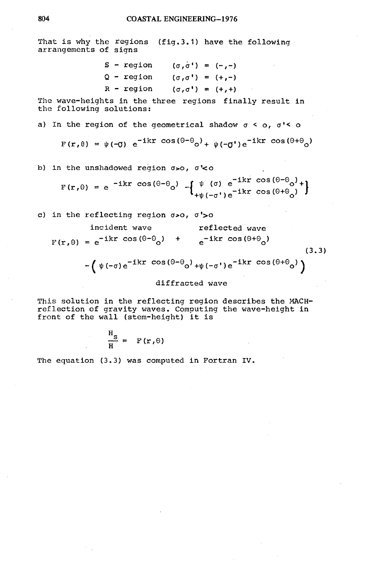That is why the regions (fig.3.1) have the following arrangements of signs

> $S - \text{region}$   $(\sigma, \sigma') = (-,-)$  $Q - \text{region}$   $(\sigma, \sigma') = (+, -)$  $R - \text{region} \qquad (\sigma, \sigma') = (+, +)$

The wave-heights in the three regions finally result in the following solutions:

a) In the region of the geometrical shadow  $\sigma < \sigma$ ,  $\sigma' < \sigma$ 

$$
F(r,\theta) = \psi(-\sigma) e^{-ikr \cos(\theta-\theta_0)} + \psi(-\sigma') e^{-ikr \cos(\theta+\theta_0)}
$$

b) in the unshadowed region a>o, *a'<o*

$$
F(r,\theta) = e^{-ikr \cos(\theta-\theta_0)} \cdot \left\{ \begin{matrix} \psi(\sigma) e^{-ikr \cos(\theta-\theta_0)} \\ +\psi(-\sigma') e^{-ikr \cos(\theta+\theta_0)} \end{matrix} \right\}
$$

c) in the reflecting region  $\sigma > 0$ ,  $\sigma' > 0$ 

incident wave **reflected** wave  $F(r, \theta) = e^{-ikr} \cos(\theta - \theta_0)$  +  $\mathrm{e}^{-\mathrm{i}\kappa r\,\cos\left(\theta+\theta_{_{\mathrm{O}}}\right)}$ (3.3)  $-\left(\sqrt[4]{(-\sigma)}\,\mathrm{e}^{-\mathrm{i}\, \mathbf{k} \mathbf{r}}\,\,\cos\left(\theta-\theta_{\mathrm{o}}\right){}_{+\psi}\left(-\sigma^{*}\right)\mathrm{e}^{-\mathrm{i}\, \mathbf{k} \mathbf{r}}\,\,\cos\left(\theta+\theta_{\mathrm{o}}\right)\,\right)$ diffracted wave

This solution in the reflecting region describes the MACHreflection of gravity waves. Computing the wave-height in front of the wall (stem-height) it is

$$
\frac{H_S}{H} = F(r, \theta)
$$

The equation (3.3) was computed in Fortran IV.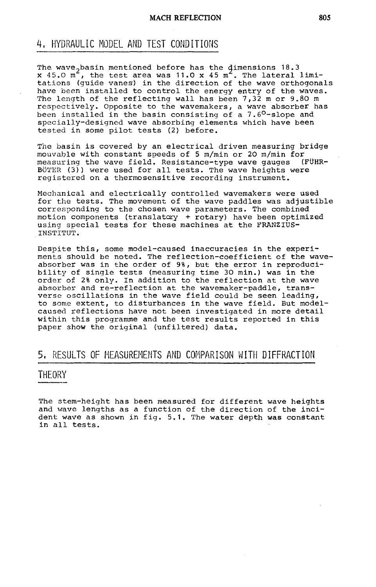# 4. HYDRAULIC MODEL AND TEST CONDITIONS

The wave<sub>p</sub>basin mentioned before has the dimensions 18.3  $\mathsf{x}$  45.0  $\mathsf{m}^2$ , the test area was 11.0  $\mathsf{x}$  45  $\mathsf{m}^2$ . The lateral limitations (guide vanes) in the direction of the wave orthogonals have been installed to control the energy entry of the waves. The length of the reflecting wall has been 7,32 m or 9.80 m respectively. Opposite to the wavemakers, a wave absorber has been installed in the basin consisting of a 7.6°-slope and specially-designed wave absorbing elements which have been tested in some pilot tests (2) before.

The basin is covered by an electrical driven measuring bridge mouvable with constant speeds of <sup>5</sup> m/min or 20 m/min for measuring the wave field. Resistance-type wave gauges BOTER (3)) were used for all tests. The wave heights were registered on a thermosensitive recording instrument.

Mechanical and electrically controlled wavemakers were used for the tests. The movement of the wave paddles was adjustible corresponding to the chosen wave parameters. The combined motion components (translatory + rotary) have been optimized using special tests for these machines at the FRANZIUS-INSTITUT.

Despite this, some model-caused inaccuracies in the experiments should be noted. The reflection-coefficient of the waveabsorber was in the order of 9%, but the error in reproducibility of single tests (measuring time 30 min.) was in the order of 2% only. In addition to the reflection at the wave absorber and re-reflection at the wavemaker-paddle, transverse oscillations in the wave field could be seen leading, to some extent, to disturbances in the wave field. But modelcaused reflections have not been investigated in more detail within this programme and the test results reported in this paper show the original (unfiltered) data.

# 5. RESULTS OF MEASUREMENTS AND COMPARISON WITH DIFFRACTION

### THEORY

The stem-height has been measured for different wave heights and wave lengths as a function of the direction of the incident wave as shown in fig. 5.1. The water depth was constant in all tests.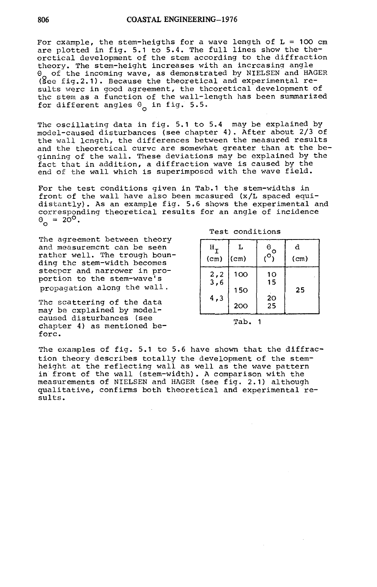For example, the stem-heigths for a wave length of  $L = 100$  cm are plotted in fig. 5.1 to 5.4. The full lines show the theoretical development of the stem according to the diffraction theory. The stem-height increases with an increasing angle  $\Theta_{\sim}$  of the incoming wave, as demonstrated by NIELSEN and HAGER (see fig.2.1). Because the theoretical and experimental results werc in good agreement, the thcoretical development of the stem as a function of the wall-length has been summarized for different angles  $\Theta_{0}$  in fig. 5.5.

The oscillating data in fig. 5.1 to 5.4 may be explained by model-caused disturbances (see chapter 4). After about 2/3 of the wall length, the differences between the measured results and the theoretical curve are somewhat greater than at the beginning of the wall. These deviations may be explained by the fact that in addition, a diffraction wave is caused by the end of the wall which is superimposed with the wave field.

For the test conditions given in Tab.1 the stem-widths in front of the wall have also been measured (x/L spaced equidistantly). As an example fig. 5.6 shows the experimental and corresponding theoretical results for an angle of incidence  $\theta_0 = 20^\circ$ .

The agreement between theory and measurement can be seen rather well. The trough bounding the stem-width becomes steeper and narrower in proportion to the stem-wave's propagation along the wall .

The scattering of the data may be cxplained by modelcaused disturbances (see chapter 4) as mentioned before.

Test conditions

| н<br>(c <sub>m</sub> )     | L<br>(cm) | Θ<br>o<br>O | d<br>(c <sub>m</sub> ) |
|----------------------------|-----------|-------------|------------------------|
| $\frac{2}{3}, \frac{2}{6}$ | 100       | 10<br>15    |                        |
|                            | 150       |             | 25                     |
| 4,3                        | 200       | 20<br>25    |                        |

Tab. <sup>1</sup>

The examples of fig. 5.1 to 5.6 have shown that the diffraction theory describes totally the development of the stemheight at the reflecting wall as well as the wave pattern in front of the wall (stem-width). A comparison with the measurements of NIELSEN and HAGER (see fig. 2.1) although qualitative, confirms both theoretical and experimental results.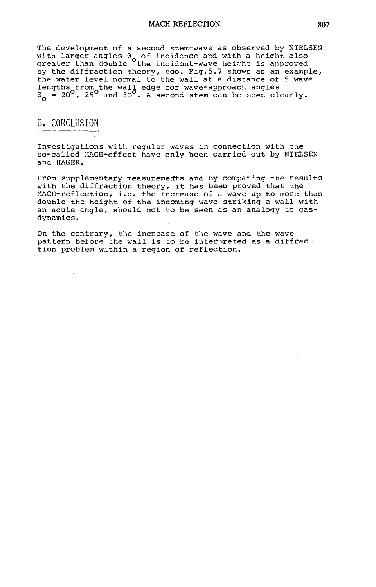The development of a second stem-wave as observed by NIELSEN with larger angles  $\Theta_{_{\text{\tiny C}}}$  of incidence and with a height also greater than double °the incident-wave height is approved by the diffraction theory, too. Fig.5.7 shows as an example, the water level normal to the wall at a distance of <sup>5</sup> wave lengths from the wall edge for wave-approach angles  $\Theta_{_{\bf C}}$  = 20 $^\circ$ , 25 $^\circ$  and 30 $^\circ$ . A second stem can be seen clearly.

# 6. CONCLUSION

Investigations with regular waves in connection with the so-called MACH-effeet have only been carried out by NIELSEN and HAGER.

From supplementary measuremerits and by comparing the results with the diffraction theory, it has been proved that the MACH-reflection, i.e. the increase of a wave up to more than double the height of the incoming wave striking a wall with an acute angle, should not to be seen as an analogy to gasdynamics.

On the contrary, the increase of the wave and the wave pattern before the wall is to be interpreted as a diffraction problem within a region of reflection.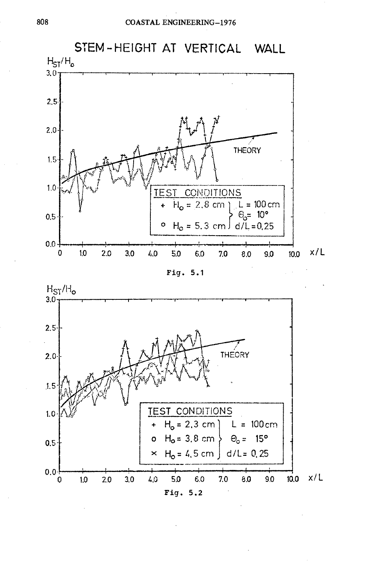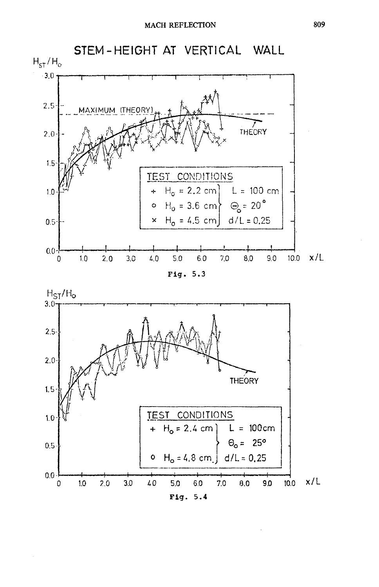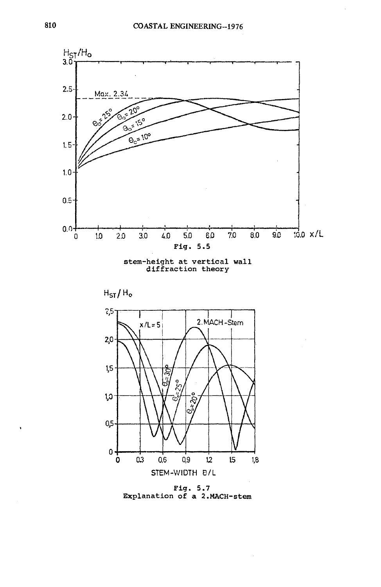





Fig. 5.7 Explanation of a 2.MACH-stem

 $\mathcal{A}$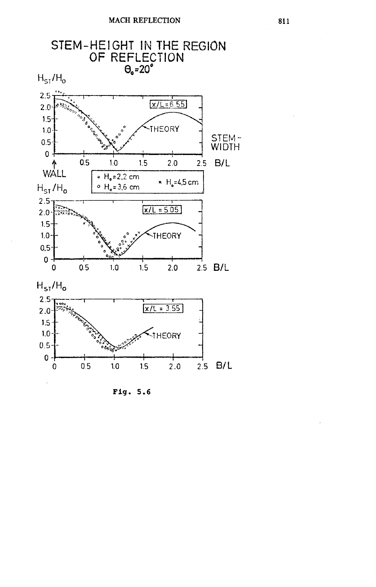

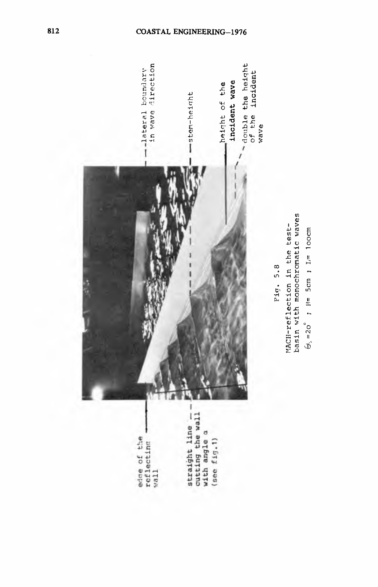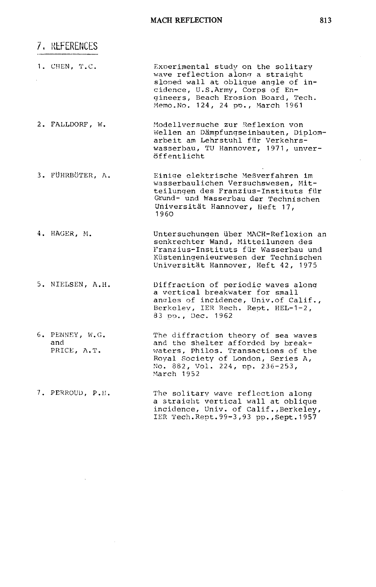### 7. REFERENCES

- 1. CHEN, T.C. Experimental study on the solitary wave reflection along a straight sloped wall at oblique angle of incidence, U.S.Army, Corps of Engineers, Beach Erosion Board, Tech. Memo.No. 124, 24 pp., March 1961
- 2. FALLDORF, W. Modellversuche zur Reflexion von Wellen an Dämpfungseinbauten, Diplomarbeit am Lehrstuhl für Verkehrswasserbau, TU Hannover, 1971, unver-6ffentlicht
- i. FUHRBOTER, A. Einige elektrische Meflverfahren im wasserbaulichen Versuchswesen, Mitteilungen des Franzius-Instituts fur Grund- und Wasserbau der Technischen Universität Hannover, Heft 17, 1960
- 4. HAGER, M. Untersuchungen iiber MACH-Reflexion an senkrechter Wand, Mitteilungen des Franzius-Instituts für Wasserbau und Kiisteningenieurwesen der Technischen Universität Hannover, Heft 42, 1975
- 5. NIELSEN, A.H. Diffraction of periodic waves along a vertical breakwater for small anales of incidence, Univ.of Calif., Berkeley, IER Rech. Rept. HEL-1-2, <sup>3</sup> <sup>3</sup> DO., Dec. 1962
- 6. PENNEY, W.G. and PRICE, A.T. The diffraction theory of sea waves and the shelter afforded by breakwaters, Philos. Transactions of the Royal Society of London, Series A, No. 882, Vol. 224, op. 236-253, March 1952
- 7. PERROUU, P.H. The solitary wave reflection along a straight vertical wall at oblique incidence, Univ. of Calif., Berkeley, IER Tech.Rept.99-3,93 pp.,Sept.1957